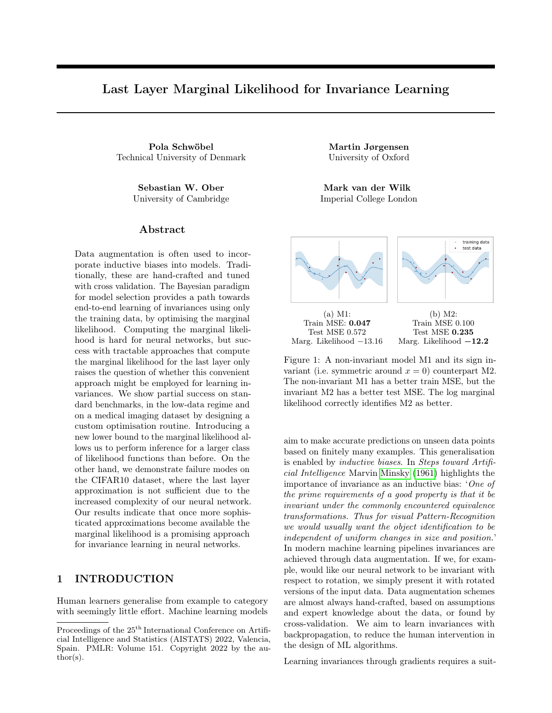# Last Layer Marginal Likelihood for Invariance Learning

Pola Schwöbel Martin Jørgensen Technical University of Denmark University of Oxford

Sebastian W. Ober Mark van der Wilk University of Cambridge Imperial College London

### Abstract

Data augmentation is often used to incorporate inductive biases into models. Traditionally, these are hand-crafted and tuned with cross validation. The Bayesian paradigm for model selection provides a path towards end-to-end learning of invariances using only the training data, by optimising the marginal likelihood. Computing the marginal likelihood is hard for neural networks, but success with tractable approaches that compute the marginal likelihood for the last layer only raises the question of whether this convenient approach might be employed for learning invariances. We show partial success on standard benchmarks, in the low-data regime and on a medical imaging dataset by designing a custom optimisation routine. Introducing a new lower bound to the marginal likelihood allows us to perform inference for a larger class of likelihood functions than before. On the other hand, we demonstrate failure modes on the CIFAR10 dataset, where the last layer approximation is not sufficient due to the increased complexity of our neural network. Our results indicate that once more sophisticated approximations become available the marginal likelihood is a promising approach for invariance learning in neural networks.

# 1 INTRODUCTION

Human learners generalise from example to category with seemingly little effort. Machine learning models



Figure 1: A non-invariant model M1 and its sign invariant (i.e. symmetric around  $x = 0$ ) counterpart M2. The non-invariant M1 has a better train MSE, but the invariant M2 has a better test MSE. The log marginal likelihood correctly identifies M2 as better.

aim to make accurate predictions on unseen data points based on finitely many examples. This generalisation is enabled by inductive biases. In Steps toward Artificial Intelligence Marvin Minsky (1961) highlights the importance of invariance as an inductive bias: 'One of the prime requirements of a good property is that it be invariant under the commonly encountered equivalence transformations. Thus for visual Pattern-Recognition we would usually want the object identification to be independent of uniform changes in size and position.' In modern machine learning pipelines invariances are achieved through data augmentation. If we, for example, would like our neural network to be invariant with respect to rotation, we simply present it with rotated versions of the input data. Data augmentation schemes are almost always hand-crafted, based on assumptions and expert knowledge about the data, or found by cross-validation. We aim to learn invariances with backpropagation, to reduce the human intervention in the design of ML algorithms.

Learning invariances through gradients requires a suit-

Proceedings of the  $25^{\text{th}}$  International Conference on Artificial Intelligence and Statistics (AISTATS) 2022, Valencia, Spain. PMLR: Volume 151. Copyright 2022 by the au- $\text{thor}(s)$ .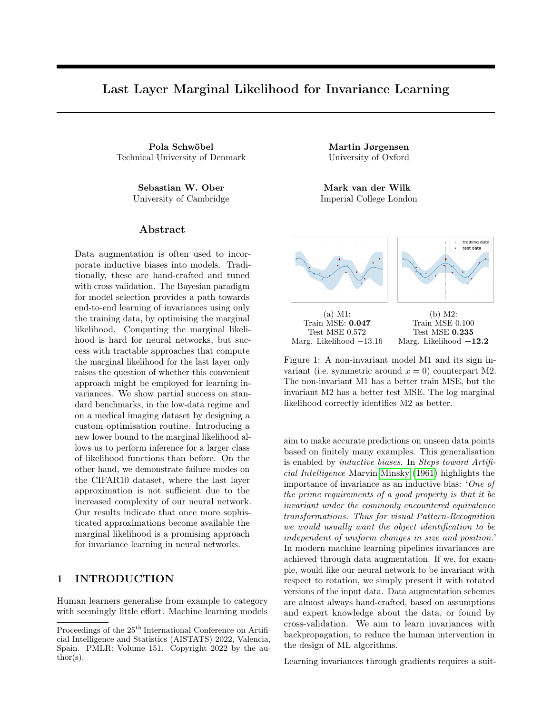able loss function. Standard losses like negative loglikelihood or mean squared error solely measure how tightly we fit the training data. Good inductive biases (e.g. convolutions) constrain the expressiveness of a model, and therefore do not improve the fit on the training data. Thus, they can not be learned by minimising the training loss alone.

In Bayesian inference, this problem is known as model selection, and is commonly solved by using a different training objective: the marginal likelihood. For a model of data y, parametrised by weights w and hyperparameters  $\theta$  it is given by

$$
p(y|\theta) = \int p(y|w)p(w|\theta)dw.
$$
 (1)

As opposed to standard training losses, it correlates with generalisation, and thus provides a general way to select an inductive bias, independent of parameterisation (Williams and Rasmussen, 2006; Rasmussen and Ghahramani, 2001; MacKay, 2003). Van der Wilk et al. (2018) demonstrated that invariances can be learned by straightforward backpropagation using the marginal likelihood in Gaussian process (GP) models, where the marginal likelihood can be accurately approximated. Fig. 1 shows an invariant and a non-invariant GP; the invariant model has higher marginal likelihood as well as lower test mean squared error. Thus, the marginal likelihood correctly identifies invariance as a useful inductive bias.

Current GP models often lack predictive performance compared to their highly expressive neural network counterparts, hence applying this elegant principle to neural networks is attractive. The challenge is, however, that finding accurate and differentiable marginal likelihood approximations for neural networks is still an open problem. In this work we investigate a convenient short-cut: computing Bayesian quantities only in the last layer. This avoids difficulties of the marginal likelihood in the full network, and has already been shown helpful (Wilson et al., 2016a,b). Given the possible impact of invariance learning with the convenience of the last-layer approximation, it is important to investigate its potential. Our results provide a nuanced picture of this approach: there are situations where the last-layer approximation is sufficient, but others where it is not.

To provide these results, we

- 1. construct a deep neural network with a Bayesian last layer that incorporates invariance, based on invariant GPs (van der Wilk et al., 2018) and deep kernel learning (Wilson et al., 2016b),
- 2. overcome problems with the training implied by a straightforward combination of Van der Wilk

et al.  $(2018)$  and Wilson et al.  $(2016b)$  via a new optimisation scheme, and a new variational bound that allows for non-Gaussian likelihoods,

3. investigate failure modes on more complex model architectures to show limitations of using the lastlayer approximation for invariance learning.

### 2 RELATED WORK

Bayesian Deep Learning aims to provide principled uncertainty quantification for deep models. Exact computation for Bayesian deep models is intractable, so different approximations have been suggested. Variational strategies (e.g. Blundell et al., 2015) maximise the evidence lower bound (ELBO) to the marginal likelihood, thereby minimising the gap between approximate and true posteriors. To remain computationally feasible, approximations for Bayesian neural networks are often crude, and while weight posteriors are useful in practice, the marginal likelihood estimates are typically too imprecise for hyperparameter estimation (Blundell et al., 2015; Turner and Sahani, 2011). Hyperparameter estimation in deep GPs has achieved more success (Damianou and Lawrence, 2013; Dutordoir et al., 2020), but training deep GPs can be challenging. Some very recent works have shown initial promise in using the marginal likelihood for hyperparameter selection in Bayesian neural networks (Ober and Aitchison, 2020; Immer et al., 2021; Dutordoir et al., 2021). Instead of a Bayesian treatment of all weights using rough approximations, we follow a deep kernel learning approach, i.e. computing the marginal likelihood for the last layer only.

Deep Kernel Learning (DKL; Hinton and Salakhutdinov, 2007; Calandra et al., 2016; Bradshaw et al., 2017) replaces the last layer of a neural network with a GP, where marginal likelihood estimation is accurate (Burt et al., 2020). Wilson et al. (2016a,b) had significant success achieving improved uncertainty estimates. Their results indicate that such a neural network-GP hybrid is promising for invariance learning. Ober et al. (2021) identify difficulties with overfitting in DKL models, but also show mechanisms by which such overfitting is mitigated. We find similar issues and adapt the standard DKL training procedure to avoid them when learning invariance hyperparameters. We will discuss these issues in more depth as we describe our training procedure in Sec. 5.

Data Augmentation is used to incorporate invariances into deep learning models. Where good invariance assumptions are available a priori (e.g. for natural images) this improves generalisation performance and is ubiquitous in deep learning pipelines. Instead of relying on assumptions and hand-crafting, recent approaches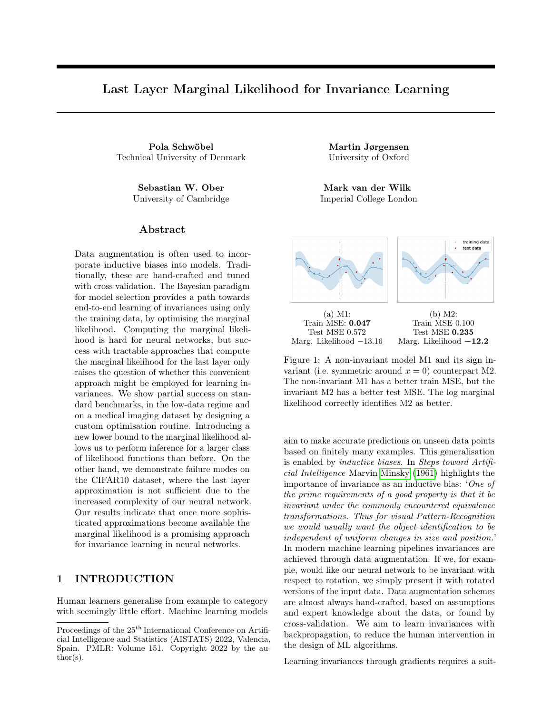learn data augmentation schemes. Cubuk et al. (2019, 2020) and Ho et al. (2019) train on the validation data, and use reinforcement learning and evolutionary search respectively to find parameters. Zhou et al. (2021); Lorraine et al. (2020) compute losses on validation sets for learning invariance parameters, and estimate gradients w.r.t. them in outer loops. Similar to our work, Benton et al. (2020) learn data augmentations on training data end-to-end, by adding a regularisation term to the negative log-likelihood loss that encourages invariance. They argue that tuning this regularisation term via cross-validation can be avoided, since the loss function is relatively flat. Yet, the method relies on explicit regularisation, and thus on an understanding of the parameters in question. Our method is based on a Bayesian view of data augmentation as incorporating an invariance on the functions in the prior distribution (van der Wilk et al., 2018; Nabarro et al., 2021). This allows the marginal likelihood to be used as an objective for learning invariances. This has many advantages, such as allowing backpropagation from training data, automatic and principled regularisation, and parameterisation independence (see Sec. 5). This makes the marginal likelihood objective a promising avenue for future work, which may want to incorporate invariances whose parameterisations are non-interpretable.

### 3 BACKGROUND

#### 3.1 Variational Gaussian processes

A Gaussian process (GP) (Williams and Rasmussen, 2006) is a distribution on functions with the property that any vector of function values  $f$  $(f(x_1), \ldots, f(x_N))$  is Gaussian distributed. We assume zero mean functions and real valued vector inputs.

Inference in GP models with general likelihoods and big datasets can be done with variational approximations (Titsias, 2009; Hensman et al., 2015). The approximate posterior is constructed by conditioning the prior on M inducing variables  $\mathbf{u} \in \mathbb{R}^M$ , and specifying their marginal distribution with  $q(\boldsymbol{u}) = \mathcal{N}(\boldsymbol{m}, \boldsymbol{S})$  (for overviews see Bui et al. 2017; van der Wilk et al. 2020). This results in a variational predictive distribution:

$$
q(f(x^*)) = \mathcal{N}(\boldsymbol{\alpha}(x^*)^{\top}\boldsymbol{m},
$$
  
\n
$$
k(x^*, x^*) - \boldsymbol{\alpha}(x^*)^{\top} (\boldsymbol{K}_{zz} - \boldsymbol{S}) \boldsymbol{\alpha}(x^*)),
$$
\n(2)

where  $\mathbf{z} \in \mathbb{R}^{M \times d}$  are inducing *inputs*,  $\mathbf{K}_{z\bar{z}}$  is the matrix with entries  $k(z_i, z_j)$ ,  $\boldsymbol{\alpha}(x^*) = \boldsymbol{K}_{zz}^{-1} k(z, x^*)$ , and k is the chosen covariance function.

Variational inference (VI) selects an approximation by minimising the KL divergence of the approximation to the true posterior with respect to the variational parameters  $z, m, S$ . This is done by maximising a lower bound to the marginal likelihood (the "evidence"), which has the KL divergence as its gap (Matthews et al., 2016). The resulting evidence lower bound (ELBO) is

$$
\log p(y) \geq \mathcal{L} = \sum_{n=1}^{N} \mathbb{E}_{q(f(x_n))} \left[ \log p(y_n | f(x_n)) \right] - \text{KL}[q(u) || p(u)]. \tag{3}
$$

In exact GPs, (kernel) hyperparameters are found by maximising the log marginal likelihood  $\log p(y)$ (Williams and Rasmussen, 2006). For our models of interest, the exact marginal likelihood is intractable. We use the ELBO as a surrogate. This results in an approximate inference procedure that maximises the ELBO with respect to both the variational parameters and the hyperparameters. Optimising the variational parameters improves the quality of the posterior approximation, and tightens the bound to the marginal likelihood. Optimising the hyperparameters hopefully improves the model, but the slack in the ELBO can lead to worse hyperparameter selection (Turner and Sahani, 2011).

#### 3.2 Invariant Gaussian Processes

A function  $f: \mathcal{X} \rightarrow \mathcal{Y}$  is *invariant* to a transformation  $t: \mathcal{X} \to \mathcal{X}$  if  $f(x) = f(t(x))$ ,  $\forall x \in \mathcal{X}$ , and  $\forall t \in \mathcal{T}$ . I.e., an invariant function will have the same output for a certain range of transformed inputs known as the orbit. A straightforward way to construct invariant functions is to simply average a function over the orbit (Kondor, 2008; Ginsbourger et al., 2012, 2013). We consider a similar construction where we average a function over a data augmentation distribution, which results in an approximately invariant function where  $f(x) \approx f(t(x))$ (van der Wilk et al., 2018; Dao et al., 2019). Augmented data samples  $x_a$  are obtained by applying random transformations t to an input,  $x_a = t(x)$ , leading to the distribution  $p(x_a|x)$ . That is, an approximately invariant function  $f$  can be constructed from any noninvariant g as

$$
f(x) = \sum_{t \in \mathcal{T}} g(t(x)), \text{ or } f(x) = \int g(x_a) p(x_a | x) \mathrm{d}x_a. \tag{4}
$$

Van der Wilk et al. (2018) exploit this construction to build a GP with continuously adjustable invariances. They place a GP prior on  $g \sim \mathcal{GP}(0, k_q(\cdot, \cdot))$ , and since Gaussians are closed under summations, f is a GP too. By construction  $f$  is invariant to the augmentation distribution  $p(x_a|\cdot)$  and its kernel is given by

$$
k_f(x, x') = \iint k_g(x_a, x'_a) p(x_a | x) p(x'_a | x') dx_a dx'_a.
$$
 (5)

Non-trivial  $p(x_a|x)$  densities present a problem for standard VI, as the kernel evaluations in eq. 2 become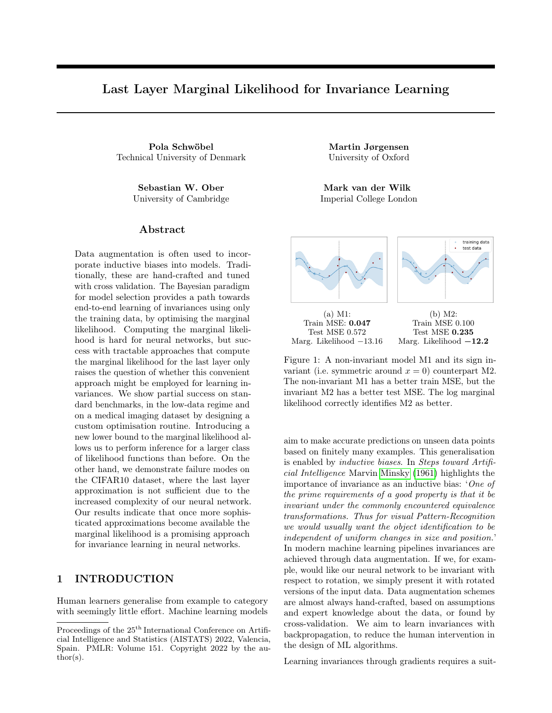intractable. This is solved by making the inducing variables observations of  $g$  rather than the usual  $f$ . This ensures that  $K_{zz}$  is tractable, as it only requires evaluations of  $k<sub>g</sub>$ , which makes the KL divergence tractable. When the likelihood is Gaussian, it additionally provides a way to tackle the expected log likelihood:

$$
\mathbb{E}_{q(f(x))} \log \mathcal{N}(y; f(x), \sigma^2) = \text{const} - \frac{(y_n - \mu)^2 + \tau}{2\sigma^2} \tag{6}
$$

where  $\mu, \tau$  are the mean and variance in (2). Only unbiased estimates of  $\mu$ ,  $\mu^2$  and  $\tau$  are needed for an unbiased estimate of the ELBO. These can be obtained from simple Monte Carlo estimates of  $k_f$  (5), and  $k(z, x)$ .<sup>1</sup>

#### 3.3 Parameterising learnable invariances

The invariance of the GP in (5) is learned by adjusting the augmentation distribution. We parameterise the distribution and treat its parameters as kernel hyperparameters. We learn these by maximising the ELBO. As done in similar work (Benton et al., 2020; van der Wilk et al., 2018), we consider affine transformations. Our affine transformations are controlled by  $\phi = (\alpha, s^x, s^y, p^x, p^y, t^x, t^y)$ , which describes rotation, scale, shearing and horizontal and vertical translation. We parameterise a family of augmentation distributions by specifying uniform ranges with  $\phi_{\text{min}}, \phi_{\text{max}} \in \mathbb{R}^7$ that are to be applied to the input image. Different ranges that are learned on  $\phi_{\text{min}}, \phi_{\text{max}}$  correspond to different invariances in  $f(\cdot)$ . For example, learning  $\phi_{\text{min/max}} = (\pm \pi, 0, 0, 0, 0, 0, 0)$  corresponds to full rotational invariance (sampling any angle between  $-\pi$  and  $\pi$ ) but no scaling, shearing or translations.

We sample from the resulting  $p(x_a|x, \phi_{\text{max}}, \phi_{\text{min}})$  (we will write  $p(x_a|x, \phi)$  for brevity) by 1) sampling the parameters for a transformation from a uniform distribution, 2) generating a transformed coordinate grid, and 3) interpolating<sup>2</sup> the image x:

$$
x_a = t_{\nu}(x), \qquad \nu \sim U(-\phi_{\min}, \phi_{\max}). \tag{7}
$$

Since transforming  $t_{\nu}(x)$  is differentiable, this procedure is reparameterisable w.r.t.  $\phi_{\text{max}}, \phi_{\text{min}}$  via  $\nu =$  $\phi_{\min} + (\phi_{\max} - \phi_{\min})\varepsilon$ ,  $\varepsilon \sim U(0, 1)$ . Straightforward automatic differentiation of the unbiased ELBO estimator described in the previous section provides the required gradients.

In summary, we learn  $\phi_{\text{min/max}}$  by maximising the ELBO, so the transformations and their magnitudes are learned based on the specific training set. Different invariances will be learned for different training data. The next sections show how these principles have potential even in neural network models, beyond the single layer GPs of Van der Wilk et al. (2018).

#### Algorithm 1: InvDKGP forward pass

1. Draw S samples from the augmentation distribution  $x_a^i \sim p(x_a|x, \phi), i = 1...S$ .

- 2. Pass the  $x_a^i$  through the neural net  $h_w$ .
- 3. Map extracted features using the non-inv. g.
- 4. Aggregate samples to obtain inv.  $f(x)$  by
	- (i) using the unbiased estimators from Sec. 3.2 in the Gaussian case, or,
- (ii) averaging predictions  $g(h_w(x_a^i))$ ,  $i = 1, ..., S$ directly in the Softmax case, see (16).

### 4 MODEL

As discussed in Sec. 1, we aim to learn neural network (NN) invariances through backpropagation, in the same way as is possible for single-layer GPs. Since finding high-quality approximations to the marginal likelihood of a NN is an ongoing research problem, we investigate whether a simpler *deep kernel* approach is sufficient. This uses a GP as the last layer of a NN, and takes advantage of accurate marginal likelihood approximations for the GP last layer. Success with such a simple method would significantly help automatic adaptation of data augmentation in neural network models. We hypothesise that the last layer approximation is sufficient, since data augmentation influences predictions only in the last layer (in the sense that one can construct an invariant function  $f$  from an arbitrary non-invariant  $q$ by summing in the last layer, eq. 4). See Fig. 2 for a graphical representation and Algorithm 1 for forward pass computations.

Deep Kernels take advantage of covariance functions being closed under transformations of their input. That is, if  $k_g(\cdot, \cdot)$  is a covariance function on  $\mathbb{R}^D \times \mathbb{R}^D$ , then  $k_g(h_w(\cdot), h_w(\cdot))$  is a covariance function on  $\mathbb{R}^d \times \mathbb{R}^d$ for mappings  $h_w : \mathbb{R}^d \to \mathbb{R}^D$ . In our case,  $h_w$  is a NN parametrised by weights  $w$ , and hence  $w$  are viewed as hyperparameters of the kernel. The GP prior becomes

$$
p(g) = \mathcal{GP}(0, k_g(h_w(\cdot), h_w(\cdot)))\,. \tag{8}
$$

The idea is to learn  $w$  along with the kernel hyperparameters. Importantly, this model remains a GP and so the inference described in Sec. 3 applies.

Our invariant model combines the flexibility of a NN  $h_w(\cdot)$  with a GP g in the last layer, while ensuring

<sup>&</sup>lt;sup>1</sup>We obtain  $k(z, x) = \int k_g(z, x_a) p(x_a|x) dx_a$  from the interdomain trick, which can be estimated with Monte Carlo. See Van der Wilk et al. (2018) for details.

<sup>&</sup>lt;sup>2</sup>Image transformation code from [github.com/](github.com/kevinzakka/spatial-transformer-network) [kevinzakka/spatial-transformer-network](github.com/kevinzakka/spatial-transformer-network)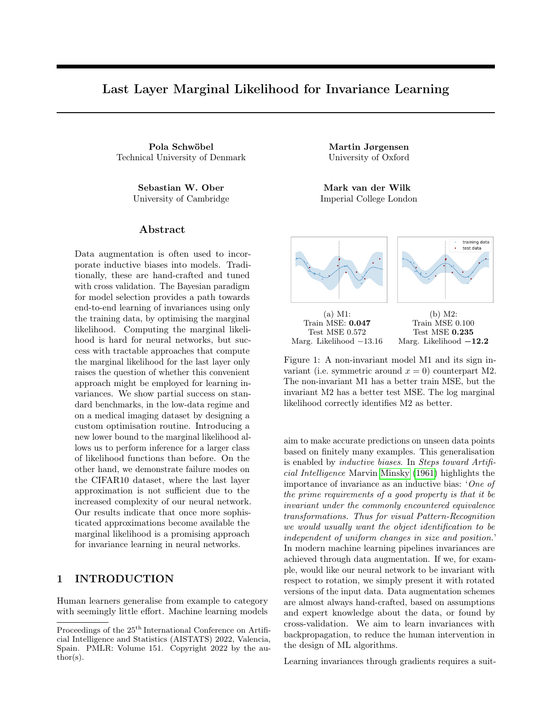

Figure 2: A visualisation of the model pipeline. For any input  $x$ , we can sample from the orbit distribution  $p(x_a|x, \phi)$ ; each of these sample gets passed through a neural network parametrised by w. The last layer is a of the net is a GP, on which we can sum across sample outputs to create an invariant function.

overall invariance using the construction from (4):

$$
f(x) = \int g(h_w(x_a)) p(x_a|x, \phi) dx_a.
$$
 (9)

Thus, combining  $(5)$  and  $(9)$ ,  $f$  is an *invariant* GP with a deep kernel given as

$$
k_f(x, x') = \int k_g(h_w(x_a), h_w(x'_a))
$$
  

$$
p(x_a|x, \phi)p(x'_a|x', \phi)dx_a dx'_a.
$$
 (10)

The model is trained to fit observations  $y$  through the likelihood function  $p(y|f(x))$ , where we assume observations  $y_i$  are independent conditioned on the marginals  $f(x_i)$ .

Initially, we investigate training a model by simply combining the invariant GP training objective for Gaussian likelihoods (van der Wilk et al., 2018) with standard deep kernel learning (Wilson et al., 2016a,b). However, as we will discuss, several issues prevent these training procedures from working. In following sections we investigate why, provide solutions, and introduce a new ELBO that is suitable for more general likelihoods which improves training behaviour. We refer to our model as the *Invariant Deep Kernel* GP (InvDKGP). An implementation can be found at <https://github.com/polaschwoebel/InvDKGP>.

# 5 DESIGNING A TRAINING SCHEME

The promise of deep kernel learning as presented by Wilson et al. (2016a,b) lies in training the NN and GP hyperparameters jointly, using the marginal likelihood as for standard GPs.3 However, prior works have noted



Figure 3: Training images with different orientations and their embeddings. Embeddings produced by joint Deep Kernel Learning (DKL, middle column) are similar for all inputs from one class. Little improvement can be gained on the training data by being rotationally invariant. NN embeddings on the right differ depending on input orientation – signal to learn  $p(x_a|x, \phi)$  from.

shortcomings of this approach (Ober et al., 2021; Bradshaw et al., 2017; van Amersfoort et al., 2021): the DKL marginal likelihood correctly penalises complexity for the last layer only, while the NN hyperparameters can still overfit. In our setting, i.e. when trying to combine deep kernel learning with invariance learning, joint training produces overfit weights which results in simplistic features with little intra-class variation<sup>4</sup>. In particular, all training points from the same class are mapped to very similar activations, independent of orientation. This causes a loss of signal for the invariance parameters (see Fig. 3).

<sup>3</sup>Given that this quantity is difficult to approximate, we verify experimentally that we indeed need it and cannot

use a simple NN with max-likelihood (see Appendix).

<sup>4</sup>This behavior makes sense: The DKL marginal likelihood only penalises complexity in the last layer, (i.e. the GP). The simplistic features from Fig. 3 can be classified by a simple function in the last layer, thus the complexity penalty is small, and the solution has high marg. likelihood.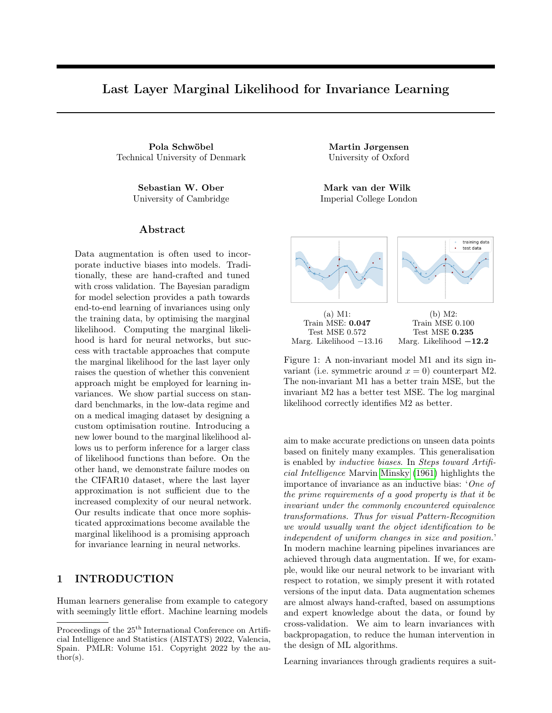

Figure 4: Learned rot. angles parametrised by  $\alpha$  and  $\frac{1}{\alpha}$ . The  $\alpha$ -parametrisation, in blue, learns rotational invariance w.r.t.  $\pm 2.8$  radians. The  $\frac{1}{\alpha}$ -parametrisation (red) learns invariance w.r.t.  $\pm \frac{1}{0.37} = \pm 2.7$  radians.

Coordinate ascent training fixes this problem. We pre-train the NN using negative log-likelihood loss. Then, we replace the fully connected last layer with an invariant GP. The marginal likelihood is a good objective given fixed weights (we obtain a GP on transformed inputs), so we fix the NN weights. However, some adaptation of the NN to the transformed inputs is beneficial. We thus continue training by alternating between updating the NN, and the GP variational parameters and orbit parameters, hereby successfully learning invariances. (See Fig. 7 and 8: flat parts of the training curves indicate NN training where all kernel hyperparameters, including invariances, remain fixed. When to toggle between the GP and NN training phase is determined using validation data.)

Choosing an invariance parameterisation is simple with our method. Other invariance learning approaches, e.g. Benton et al. (2020) and Schwöbel et al. (2020) rely on explicitly regularising augmentation parameters to be large, and thus require interpretability of their parameters. The marginal likelihood objective is independent of parameterisation. To illustrate this we compare parameterising the range of angles by the angle in radians  $\alpha$  and by its reciprocal  $\xi = \frac{1}{\alpha}$ . In the rotMNIST example (see Fig 4) large invariances are needed. This corresponds to large  $\alpha$  or small  $\xi$  – our method obtains this in both parameterisations. In



Figure 5: Runs with fixed (red) and non-fixed (blue) kernel and likelihood variance on rotMNIST. The augmentation distribution collapses for non-fixed variances.



Figure 6: Test accuracies against the training set size on MNIST. We see the invariant model (in red) generalises significantly better, especially for small training sets.

contrast, explicitly regularising invariance parameters to be large would fail for  $\xi$ . We wish to stress that generating the orbit distributions is not restricted to affine image transformation and parameterisation independence will be more important as more complicated, non-interpretable invariances are considered.

The Gaussian likelihood is chosen by Van der Wilk et al. (2018) due to its closed-form ELBO. For classification problems, this is a model misspecification. The penalty for not fitting the correct label value becomes large and we can therefore overfit the training data. To alleviate this problem, we fix likelihood and kernel variance (see Fig. 5). The fixed values were determined by trying out a handful candidates – this was sufficient to make invariance learning work. To remove this manual tuning, we will derive an ELBO that works with likelihoods like Softmax in Sec 6.

#### 5.1 MNIST subsets – the low data regime

Having developed a successful training scheme we evaluate it on MNIST subsets. The generalisation problem is particularly difficult when training data is scarce. Inductive biases are especially important and usually parameter-rich neural networks rely on heavy data augmentation when applied to smaller datasets. We train on different subsets of MNIST (LeCun et al.). InvD-KGPs outperform both NNs and non-invariant deep kernel GPs. The margin is larger the smaller the training set — with only  $1250$  training examples we can nearly match the performance of a NN trained on full MNIST (Fig. 6). We conclude it is possible to learn useful invariances even from small data (see Fig. 7). This data efficiency is desirable since models trained on small datasets benefit crucially from augmentation.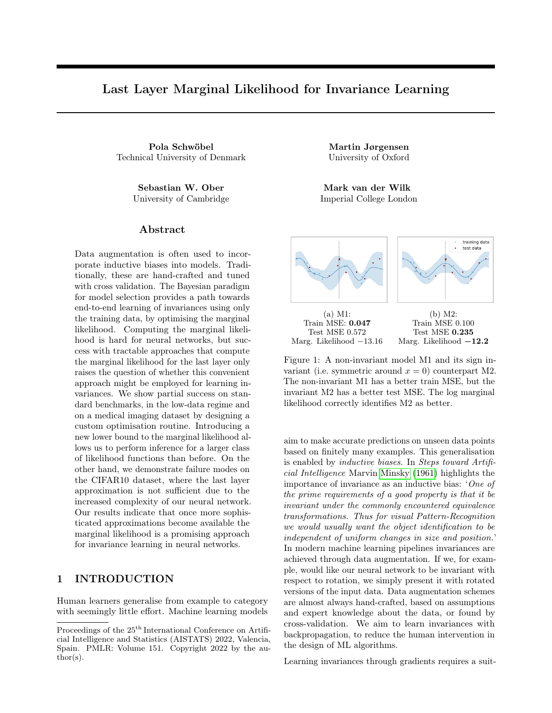

Figure 7: Top: Learned invariance parameters (rotation  $\alpha$  in radians and x-translation  $t_x$ ) for a small, medium and large training set. We learn larger  $\alpha$  for the smaller subsets. Here, data augmentation is more beneficial. Bottom: Two training images  $x$  (red frames) and samples from  $p(x_a|x, \phi)$  (following columns) learned by the InvDKGP on MNIST using only 312 images.

# 6 CORRECTING MODEL MISSPECIFICATION

The key observation for inference under the Gaussian likelihood was the unbiasedness of the estimators. In this section, we introduce a controlled bias to allow for easy inference in a wide class of likelihoods. In the limit of infinite sampling, the bias disappears and the invariance does not add additional approximation error.

Recall that  $f(x)$  constructed in (4) is intractable but can be estimated by Monte Carlo sampling

$$
\hat{f}(x) := \frac{1}{S_o} \sum_{i=1}^{S_o} g(x_a^i),\tag{11}
$$

where  $x_a^i \sim p(x_a|x, \phi)$ . Notice,

$$
f(x) = \mathbb{E}_{\prod_{i=1}^{S_o} p(x_a^i | x, \phi)} \left[ \hat{f}(x) \right] =: \tilde{\mathbb{E}} \left[ \hat{f}(x) \right], \quad (12)
$$

where  $\prod_{i=1}^{S_o} p(x_a^i|x, \phi)$  is the product density over  $S_o$ orbit densities. We remark that  $f$  is deterministic in  $x$ but stochastic in  $g$ , which is a GP. Thus, we can write

$$
\mathbb{E}_{q(f(x))}[\log p(y|f(x))] = \mathbb{E}_{q(g)}[\log p(y|f(x))]
$$
(13)

$$
= \mathbb{E}_{q(g)} \left[ \log p \left( y \big| \tilde{\mathbb{E}}[\hat{f}(x)] \right) \right] \tag{14}
$$

$$
\geq \mathbb{E}_{q(g)}\left[\tilde{\mathbb{E}}\left[\log p\left(y|\hat{f}(x)\right)\right]\right].\quad(15)
$$

The inequality is due to Jensen's inequality if the likelihood is *log-concave* in  $f^{\text{5}}$ . This holds for many common likelihoods, e.g. Gaussian and Softmax.



Figure 8: Left: Learned invariance parameters (rotation  $\alpha$  in radians and x-translation  $t_x$ ) for rotM-NIST. Both the Gaussian and the Softmax model learn to be almost fully rotationally invariant (i.e.  $\alpha_{\text{min/max}} \approx \pm \pi$ , and not to be invariant w.r.t. translation (i.e.  $t_{\text{min/max}}^x \approx 0$ ). Note the different scaling of the y-axis to Fig. 7. Right: Two training images (red frames) and samples from orbits.

Equality holds above when  $\text{Var}(\hat{f}(x)) = 0$ , i.e. the bound becomes tighter as  $S<sub>o</sub>$  increases (see also Burda et al., 2016). Hence aggressive sampling recovers accurate VI. The right-hand side of (15) can now, without additional bias, be estimated by

$$
\frac{1}{S_g} \sum_{k=1}^{S_g} \frac{1}{S_{\mathcal{A}}} \sum_{j=1}^{S_{\mathcal{A}}} \log p \left( y \Big| \frac{1}{S_o} \sum_{i=1}^{S_o} g_k(x_a^{ji}) \right). \tag{16}
$$

Since extensive sampling is required to keep the bound above tight, it is important to do this efficiently. From a GP perspective this is handled with little effort by sampling the approximate posteriors  $q(g)$  using Matheron's rule (Wilson et al., 2020). Thus, sampling  $S_q$ GPs is cheap compared to sampling from the orbit.  $S_A$ denotes the number of  $\hat{f}$  samples, this can be fixed to 1 as long as  $S<sub>o</sub>$  is large.

Summarising, we have shown how we can infer through the marginal likelihood, for the wide class of log-concave likelihoods, by maximising the stochastic ELBO:

$$
\mathcal{L} = \frac{1}{S_g} \sum_{k=1}^{S_g} \frac{1}{S_A} \sum_{j=1}^{S_A} [\log p(y| \frac{1}{S_o} \sum_{i=1}^{S_o} g_k(h_w(x_a^{ji})))] - \text{KL}[q(u)||p(u)], \qquad (17)
$$

with 
$$
x_a^{ij} \sim p(x_a|x, \phi)
$$
. (18)

The benefits of our new sample based bound are threefold: It broadens model specification, avoids handpicking and fixing the artificial Gaussian likelihood variance, and doubles training speed.

 $5$ Nabarro et al. (2021) use this same construction in the weight-space of neural networks to find valid posteriors in the presence of data augmentation, although without invariance learning.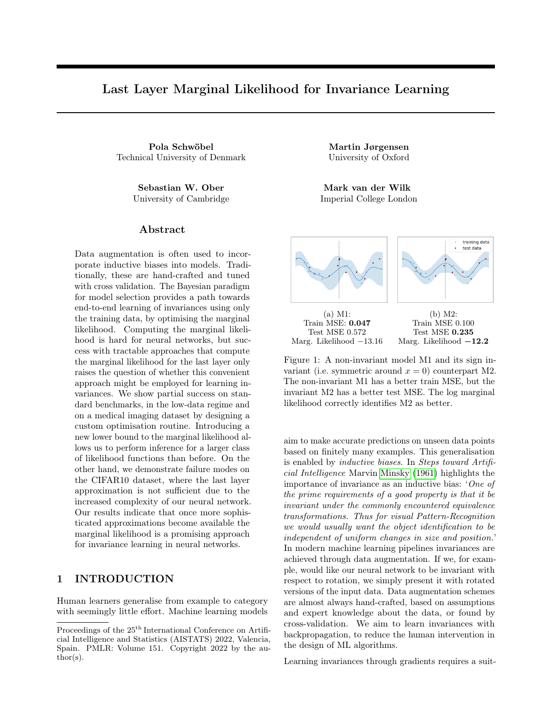|                | Model                   | Likelihd. | Test acc. |
|----------------|-------------------------|-----------|-----------|
| M1             | NN                      | Softmax   | 0.9433    |
| M <sub>2</sub> | Non-inv. Shallow GP     | Gaussian  | 0.8357    |
| M3             | Non-inv. Shallow. GP    | Softmax   | 0.7918    |
| M4             | Inv. Shallow GP         | Gaussian  | 0.9516    |
| M5             | Inv. Shallow. GP        | Softmax   | 0.9316    |
| M6             | Non-inv. Deep Kernel GP | Gaussian  | 0.9387    |
| M7             | Non-inv. Deep Kernel GP | Softmax   | 0.9351    |
| M8             | Inv. Deep Kernel GP     | Gaussian  | 0.9896    |
| M9             | Inv. Deep Kernel GP     | Softmax   | 0.9867    |

Table 1: Test accuracies on rotated MNIST. Invariant models outperform non-invariant counterpart. So do deep kernels contra shallow ones. The invariant deep kernel GPs perform best, outperforming state-of-theart of 0.989 for learned invariance (Benton et al., 2020).

### 6.1 Rotated MNIST

The rotated MNIST dataset  $6$  was generated from the original MNIST dataset by randomly rotating the images of hand-written digits between 0 and  $2\pi$  radians. It consists of a training set of 12.000 images along with 50.000 images for testing. We pretrain the neural network from Sec. 5.1 on rotated MNIST (Table 1, M1) and proceed as outlined in Sec. 5. As discussed in Sec. 5, we do not have guarantees that the ELBO acts as a good model selector for the neural network hyperparameters. We thus use a validation set (3000 of the 12000 training points) to find hyperparameters for the NN updates. Once a good training setting is found we re-train on the entire training set (see Appendix for settings). Fig. 8 shows the learned invariances (we use the full  $\phi$  parameterisation but only plot rotation and x-translation for brevity). Both Gaussian and Softmax models learn to be rotation-invariant close the full  $2\pi$ rotations present in the data. Table 1 contains test accuracies. Deep kernel GPs outperform their shallow counterparts by large margins (differences in test accuracy of  $\geq 10$  percent points). The same is true for invariant compared to non-invariant models ( $\geq 3$ ) percent points). While both likelihoods achieve similar test accuracies, we observe a  $2.3\times$  speedup per iteration in training for the sample-based Softmax over the Gaussian model. (Gaussian model: 2.64 seconds per iteration, Gaussian  $+$  sample bound: 1.32 sec./iter., Softmax  $+$  sample bound: 1.13 sec./iter. All runs are executed on 12 GB Nvidia Titan X/Xp GPUs.)

#### 6.2 PatchCamelyon

The PatchCamelyon (PCam, CC0 License, Veeling et al. (2018)) dataset consists of histopathology scans

[iro.umontreal.ca/public\\_static\\_twiki/](https://sites.google.com/a/lisa.iro.umontreal.ca/public_static_twiki/variations-on-the-mnist-digits)

[variations-on-the-mnist-digits](https://sites.google.com/a/lisa.iro.umontreal.ca/public_static_twiki/variations-on-the-mnist-digits)



Figure 9: Left: Learned rotation on PCam. Right: PCam orbit samples. Augmented images look smoother due to interpolation, thus we preprocess the dataset with small rotations when learning invariances.

| Model                           | Test acc. |
|---------------------------------|-----------|
| NΝ                              | 0.7905    |
| Deep Kernel $GP + no$ inv.      | 0.8018    |
| $NN + small$ inv.               | 0.7420    |
| Deep Kernel $GP + small$ inv.   | 0.8115    |
| Deep Kernel $GP + learned$ inv. | 0.8171    |

Table 2: PCam results. InvDKGP performs best.

of lymph nodes measuring  $96 \times 96 \times 3$  pixels. Labels indicate whether the centre patch contains tumor pixels. Veeling et al. (2018) improve test performance from 0.876 to 0.898 by using a NN which is invariant to (hard-coded) 90° rotations of the input. Such discrete, non-differentiable augmentations are not compatible with our backprop-based method, so we instead use continuously sampled rotations (a special case of the transformations described in Sec. 3.3 with  $\phi = \alpha$  and  $\alpha_{min} = -\alpha_{max}$ ). This, contrary to Veeling et al. (2018)'s approach, introduces the need for padding and interpolation (see Fig. 9, left), effectively changing the data distribution. We thus apply small rotations as a preprocessing step  $(\pi/10 \text{ radians}, \text{ 'small inv.' in Table 2}).$ This lowers performance for a NN alone, i.e. when pre-training. The invariant models counterbalance this performance drop, and the learned invariances produce the best results in our experiments; however, they remain subpar to Veeling et al. (2018). This is due to the limitation to differentiable transformations, as well as our simpler NN (see Appendix). We highlight that our task is fundamentally different: instead of hard-coding invariances we learn those during optimisation.

# 7 EXPLORING LIMITATIONS

Rotated MNIST and PCAM are relatively simple datasets that can be modelled using small NNs. To investigate whether our approach can be used on more complex datasets, we turn to CIFAR-10 (Krizhevsky, 2009), which is usually trained with larger models and data augmentation. Unfortunately, we found that we were unable to learn invariances for CIFAR-10.

<sup>6</sup> [https://sites.google.com/a/lisa.](https://sites.google.com/a/lisa.iro.umontreal.ca/public_static_twiki/variations-on-the-mnist-digits)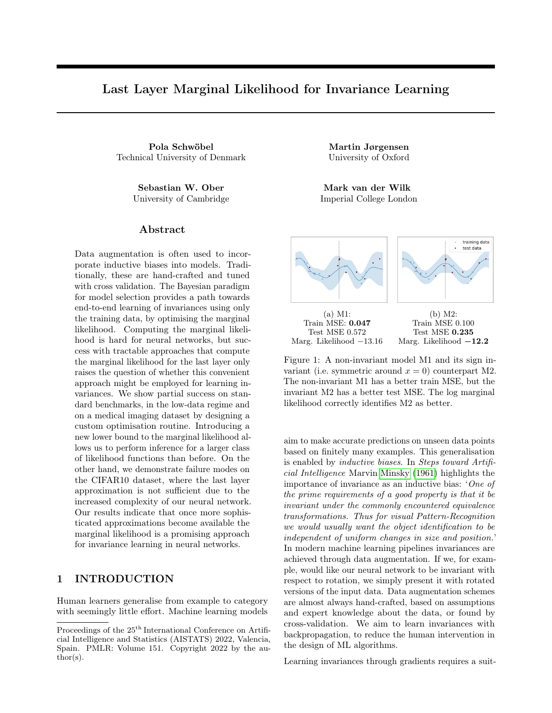To understand why, we designed a simple experiment. We first pretrain ResNet-18-based (He et al., 2016) networks with different levels  $\nu$  of invariance transformations (see the Appendix for a definition of  $\nu$ ). We then train sparse GP regression (SGPR; Titsias, 2009) models on an augmented training set created by propagating ten points sampled from the augmentation distribution through these neural networks. The samples are generated at different levels of invariance  $\nu$ , not necessarily matching the levels of the pretrained NNs. We plot the results in Fig. 10: when the network is trained at a small invariance level  $\epsilon$ , the performance of the SGPR model is highest at an invariance level of 0.01, and rapidly drops off for larger invariances (note the logarithmic x scale). We see a similar result for the network trained at a level of 0.1. Finally, when the network is trained at the same level that the orbit points for the SGPR model are sampled at ('adapted'), we see that added invariance helps the accuracy, with no steep drop off in accuracy for larger invariances. Therefore, adding invariance does help, but only when the network has already been adapted to that invariance. Currently, in our method this coadaptation is prevented by the current need for coordinate ascent training (Sec. 5).

This experiment indicates that for datasets requiring larger neural networks, we are in a difficult position. We need to adapt the feature extractor jointly with the invariances. However, this approach leads to pathologies as the neural network parameters are not protected from overfitting (Ober et al. (2021), see Sec. 5), which we previously mitigated with coordinate ascent. Therefore, relying on the marginal likelihood to learn invariances with a large feature extractor can easily lead to unwanted behavior – this behavior prevents us from learning these invariances as easily as the marginal likelihood promises. We believe that ongoing research in Bayesian deep learning will alleviate this problem. Bayesian neural networks with methods for marginalising over lower layers too, thus protecting them against overfitting, will render our approach more easily applicable. Such advances will allow us to learn invariances more easily and on more complex tasks than we did for the MNIST and PCAM datasets.

## 8 CONCLUSION

Neural networks depend on good inductive biases in order to generalise well. Practitioners usually – successfully – handcraft inductive biases, but the idea of learning them from data is appealing. Might we automate the modelling pipeline, moving from handcrafted models to data driven models; much like we replaced hand-crafted features with learned features in deep neural networks? This work proposes one step



Figure 10: Test accuracies on CIFAR-10 for different transformation levels  $\nu$  with pretraining at negligible " $\epsilon$ ", 0.1, and adapted levels. The maxima for each curve are marked with a star, and occur at test accuracies of 77.4% for " $\epsilon$ ", 82.1% for 0.1, and 81.1% for adapted levels.

in this direction. Inspired by Bayesian model selection we employ the marginal likelihood for learning inductive biases. We avoid the intractability of the marginal likelihood for neural networks by using Deep Kernel Learning. This enables us to leverage previous work on invariance learning in GPs for learning data augmentation in neural networks. We learn useful invariances and improve performance, but encounter challenges when optimising our models. We introduce a new sampling-based bound to the ELBO allowing for inference for the Softmax likelihood, the natural choice for classification tasks, hereby alleviating some of the optimisation difficulties. Others we identify as fundamental limitations of the Bayesian last layer approach.

Societal Impact: This work is situated within basic research in probabilistic ML and, as such, bears all the risks of automation itself: harmful redistribution of wealth to those with access to compute resources and data, loss of jobs, and the environmental impact of such technologies. In fact, our model is more computationally heavy than a standard neural network with hand-tuned data augmentation. However, in the long term, automatic model selection has the potential to reduce the need for hyperparameter tuning, which usually dramatically exceeds the resources needed for training the final model.

### Acknowledgements

MJ is supported by a research grant from the Carlsberg Foundation (CF20-0370). SWO acknowledges the support of the Gates Cambridge Trust for his doctoral studies.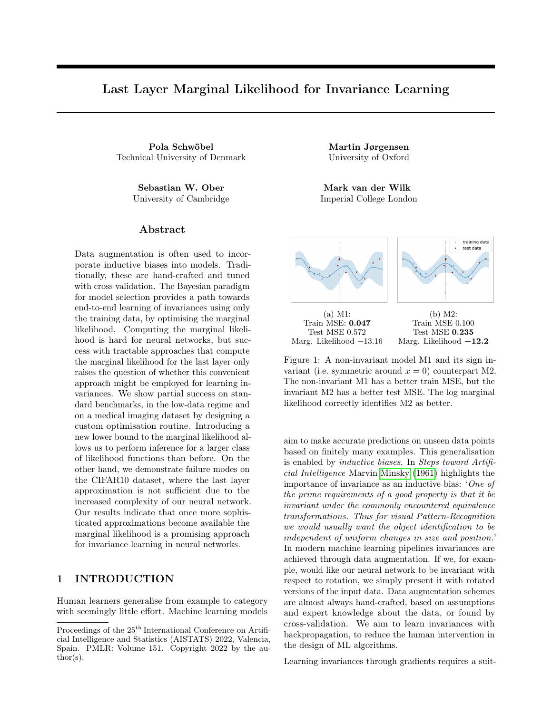#### References

- G. Benton, M. Finzi, P. Izmailov, and A. G. Wilson. Learning invariances in neural networks. In Advances in Neural Information Processing Systems, 2020.
- C. Blundell, J. Cornebise, K. Kavukcuoglu, and D. Wierstra. Weight uncertainty in neural networks. In Proceedings of the 32nd International Conference on Machine Learning (ICML), 2015.
- J. Bradshaw, A. G. d. G. Matthews, and Z. Ghahramani. Adversarial examples, uncertainty, and transfer testing robustness in Gaussian process hybrid deep networks. arXiv preprint arXiv:1707.02476, 2017.
- T. D. Bui, J. Yan, and R. E. Turner. A unifying framework for Gaussian process pseudo-point approximations using power expectation propagation. Journal of Machine Learning Research (JMLR), 18 (104):1–72, 2017.
- Y. Burda, R. Grosse, and R. Salakhutdinov. Importance weighted autoencoders. 2016.
- D. R. Burt, C. E. Rasmussen, and M. van der Wilk. Convergence of sparse variational inference in Gaussian processes regression. Journal of Machine Learning Research (JMLR), 21(131):1–63, 2020.
- R. Calandra, J. Peters, C. E. Rasmussen, and M. P. Deisenroth. Manifold Gaussian processes for regression. In International Joint Conference on Neural Networks (IJCNN), 2016.
- E. D. Cubuk, B. Zoph, D. Mane, V. Vasudevan, and Q. V. Le. Autoaugment: Learning augmentation strategies from data. In Proceedings of the IEEE/CVF Conference on Computer Vision and Pattern Recognition, 2019.
- E. D. Cubuk, B. Zoph, J. Shlens, and Q. V. Le. Randaugment: Practical automated data augmentation with a reduced search space. In *Proceedings of the* IEEE/CVF Conference on Computer Vision and Pattern Recognition Workshops, 2020.
- A. Damianou and N. D. Lawrence. Deep Gaussian processes. In Proceedings of the 16th International Conference on Artificial Intelligence and Statistics (AISTATS), 2013.
- T. Dao, A. Gu, A. Ratner, V. Smith, C. De Sa, and C. Ré. A kernel theory of modern data augmentation. In Proceedings of the 36th International Conference on Machine Learning (ICML), 2019.
- V. Dutordoir, M. van der Wilk, A. Artemev, and J. Hensman. Bayesian image classification with deep convolutional Gaussian processes. In Proceedings of the 23rd International Conference on Artificial Intelligence and Statistics (AISTATS), 2020.
- V. Dutordoir, J. Hensman, M. van der Wilk, C. H. Ek, Z. Ghahramani, and N. Durrande. Deep neural networks as point estimates for deep Gaussian processes. In Advances in Neural Information Processing Systems, 2021.
- D. Ginsbourger, X. Bay, O. Roustant, and L. Carraro. Argumentwise invariant kernels for the approximation of invariant functions. In Annales de la Faculté des sciences de Toulouse: Mathématiques, volume 21, pages 501–527, 2012.
- D. Ginsbourger, N. Durrande, and O. Roustant. Kernels and designs for modelling invariant functions: From group invariance to additivity. In  $mODa$  10– Advances in Model-Oriented Design and Analysis, pages 107–115. Springer, 2013.
- K. He, X. Zhang, S. Ren, and J. Sun. Deep residual learning for image recognition. In Proceedings of the IEEE Conference on Computer Vision and Pattern Recognition (CVPR), 2016.
- J. Hensman, A. G. d. G. Matthews, and Z. Ghahramani. Scalable variational Gaussian process classification. In Proceedings of the 17th International Conference on Artificial Intelligence and Statistics (AISTATS), 2015.
- G. E. Hinton and R. Salakhutdinov. Using deep belief nets to learn covariance kernels for Gaussian processes. Advances in Neural Information Processing Systems, 2007.
- D. Ho, E. Liang, X. Chen, I. Stoica, and P. Abbeel. Population based augmentation: Efficient learning of augmentation policy schedules. In Proceedings of the 36th International Conference on Machine Learning (ICML), 2019.
- A. Immer, M. Bauer, V. Fortuin, G. Rätsch, and M. E. Khan. Scalable marginal likelihood estimation for model selection in deep learning. In Proceedings of the 38th International Conference on Machine Learning (ICML), 2021.
- D. P. Kingma and J. Ba. Adam: A method for stochastic optimization. In 3rd International Conference on Learning Representations (ICLR), 2015.
- I. R. Kondor. Group theoretical methods in machine learning. Columbia University, 2008.
- A. Krizhevsky. Learning multiple layers of features from tiny images. 2009.
- Y. LeCun, C. Cortes, and C. J. Burges. Mnist handwritten digit database. ATT Labs [Online]. Available: http://yann.lecun.com/exdb/mnist.
- J. Lorraine, P. Vicol, and D. Duvenaud. Optimizing millions of hyperparameters by implicit differentiation. In Proceedings of the 23rd Conference on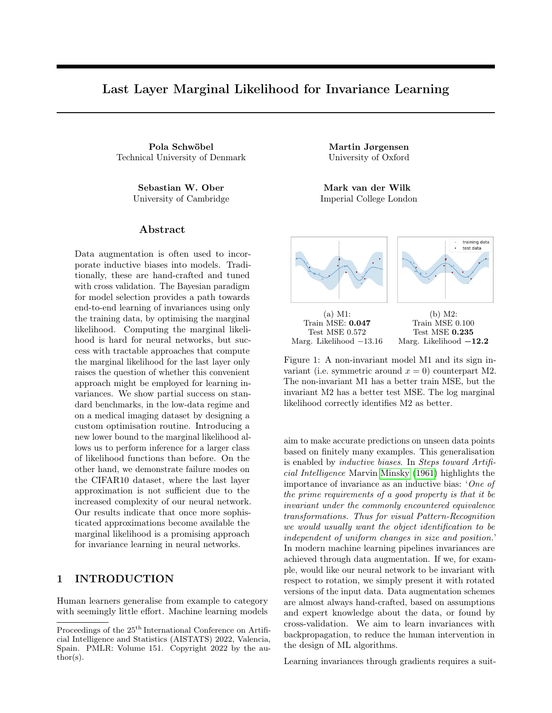International Conference on Artificial Intelligence and Statistics (AISTATS), 2020.

- D. J. C. MacKay. Model comparison and Occam's razor. Information Theory, Inference and Learning Algorithms, pages 343–355, 2003.
- A. G. d. G. Matthews, J. Hensman, R. E. Turner, and Z. Ghahramani. On sparse variational methods and the Kullback-Leibler divergence between stochastic processes. In Proceedings of the 18th International Conference on Artificial Intelligence and Statistics (AISTATS), 2016.
- A. G. d. G. Matthews, M. van der Wilk, T. Nickson, K. Fujii, A. Boukouvalas, P. León-Villagrá, Z. Ghahramani, and J. Hensman. GPflow: A Gaussian process library using TensorFlow. Journal of Machine Learning Research (JMLR), 18(40):1–6, 2017.
- M. Minsky. Steps toward artificial intelligence. Proceedings of the IRE, 49(1):8–30, 1961.
- S. Nabarro, S. Ganev, A. Garriga-Alonso, V. Fortuin, M. van der Wilk, and L. Aitchison. Data augmentation in bayesian neural networks and the cold posterior effect, 2021.
- S. W. Ober and L. Aitchison. Global inducing point variational posteriors for Bayesian neural networks and deep Gaussian processes. In Proceedings of the 38th International Conference on Machine Learning (ICML), 2020.
- S. W. Ober, C. E. Rasmussen, and M. van der Wilk. The promises and pitfalls of deep kernel learning. In Proceedings of the 37th Conference on Uncertainty in Artifical Intelligence (UAI), 2021.
- C. E. Rasmussen and Z. Ghahramani. Occam's razor. Advances in Neural Information Processing Systems, 2001.
- P. Schwöbel, F. Warburg, M. Jørgensen, K. H. Madsen, and S. Hauberg. Probabilistic spatial transformers for Bayesian data augmentation. arXiv preprint arXiv:2004.03637, 2020.
- M. Titsias. Variational learning of inducing variables in sparse gaussian processes. In Proceedings of the 12th International Conference on Artificial Intelligence and Statistics (AISTATS), 2009.
- R. E. Turner and M. Sahani. Two problems with variational expectation maximisation for time-series models. In D. Barber, T. Cemgil, and S. Chiappa, editors, Bayesian Time Series Models, chapter 5, pages 109–130. Cambridge University Press, 2011.
- J. van Amersfoort, L. Smith, A. Jesson, O. Key, and Y. Gal. On feature collapse and deep kernel learning for single forward pass uncertainty. arXiv preprint arXiv:2102.11409, 2021.
- M. van der Wilk, M. Bauer, S. T. John, and J. Hensman. Learning invariances using the marginal likelihood. In Advances in Neural Information Processing Systems, 2018.
- M. van der Wilk, V. Dutordoir, S. T. John, A. Artemev, V. Adam, and J. Hensman. A framework for interdomain and multioutput Gaussian processes. arXiv preprint arXiv:2003.01115, 2020.
- B. S. Veeling, J. Linmans, J. Winkens, T. Cohen, and M. Welling. Rotation equivariant CNNs for digital pathology. In International Conference on Medical Image Computing and Computer-Assisted Intervention. Springer, 2018.
- C. K. I. Williams and C. E. Rasmussen. Gaussian processes for machine learning. MIT Press Cambridge, MA, 2006.
- A. G. Wilson, Z. Hu, R. Salakhutdinov, and E. P. Xing. Deep kernel learning. In Proceedings of the 19th International Conference on Artificial Intelligence and Statistics (AISTATS), 2016a.
- A. G. Wilson, Z. Hu, R. Salakhutdinov, and E. P. Xing. Stochastic variational deep kernel learning. Advances in Neural Information Processing Systems, 2016b.
- J. T. Wilson, V. Borovitskiy, A. Terenin, P. Mostowsky, and M. P. Deisenroth. Efficiently sampling functions from Gaussian process posteriors. In Proceedings of the 37th International Conference on Machine Learning (ICML), 2020.
- A. Zhou, T. Knowles, and C. Finn. Meta-learning symmetries by reparameterization. In 9th International Conference on Learning Representations (ICLR), 2021.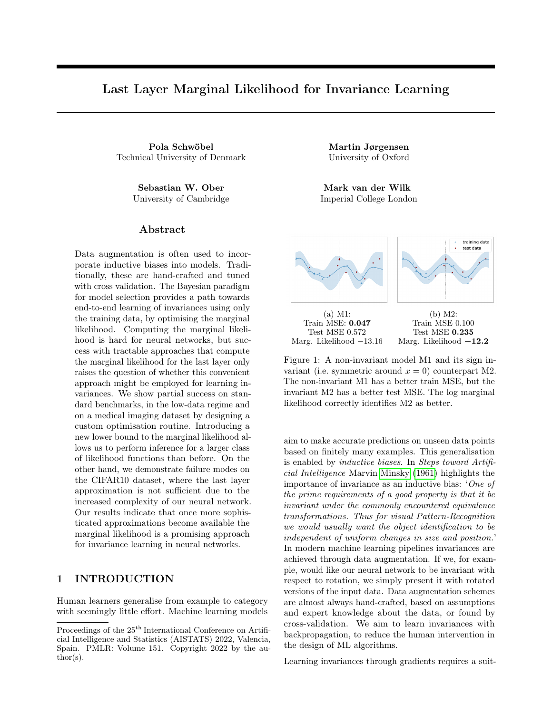# Supplementary Material: Last Layer Marginal Likelihood for Invariance Learning

# A IS THE MARGINAL LIKELIHOOD NECESSARY?

Sec. 1 motivated the marginal likelihood for invariance learning. Given that this loss function is notoriously difficult to evaluate, we verify experimentally that using it is indeed *necessary*, i.e. that the standard maximum likelihood loss is insufficient. Fig. 11 shows invariances learned on rotated MNIST (rotMNIST, see Sec. 6.1 for a description of the dataset) by using a neural network with maximum likelihood loss for two initialisations (blue, green). They collapse as suggested by the theory. The marginal likelihood solution (red) instead identifies appropriate invariances.



Figure 11: Max. likelihood (green, blue, collapsing) and marg. likelihood (red, useful) invariances.

# B EXPERIMENTAL DETAILS

Exploiting the ideas from Sec. 5, we start by training convolutional neural networks (CNNs, see below for architecture details). After pre-training the CNN, we replace the last fully connected layer with a GP and continue training. In the non-invariant case we train all parameters jointly from here. When learning invariances, we iterate between updating the GP variational- and hyperparameters, and the neural network weights.

### B.1 MNIST variations

We here summarise the training setups for the experiments on MNIST variations, i.e. MNIST subsets (Sec. 5.1) and rotated MNIST (Sec. 6.1). We start by outlining the shared neural network architecture and will then list the hyperparameter settings for MNIST and rotMNIST, respectively.

The CNN architecture used in the (rot)MNIST experiments is depicted in Table 3. For rotated MNIST, we train the model for 200 epochs with the Adam optimiser (default parameters). For the MNIST subsets, we train for 60k iterations which corresponds to 200 epochs for the full dataset and respectively more epochs for smaller subsets. The remaining parameters are the same in all experiments: batch size 200, learning rate 0.001, no weight decay, other regularisation or data augmentation. In the pre-training phase we minimise negative log-likelihood, for updates during coordinate ascent we use the ELBO as a loss-function.

Hyperparameter initialisation for the MNIST subset experiments are lengthscale 10, likelihood variance 0.05, kernel variance 1 (fixed likelihood and kernel variance for the invariant model, see Sec. 5.1), posterior variance 0.01. We use 1200 inducing points which we initialise by first passing the images through the neural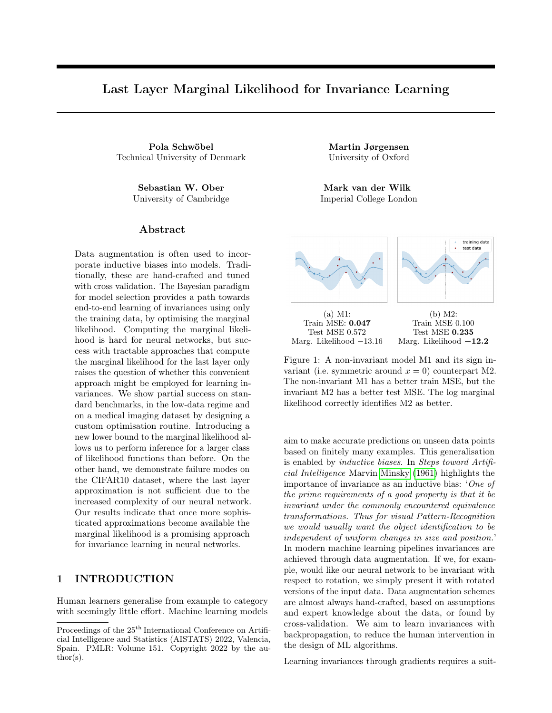| Laver           | <b>Specifications</b>                                             |
|-----------------|-------------------------------------------------------------------|
| Convolution     | filters=20, kernel size= $(5, 5)$ , padding=same, activation=ReLU |
| Max pooling     | pool size= $(2, 2)$ , stride= $2$                                 |
| Convolution     | filters=50, kernel size= $(5, 5)$ , padding=same, activation=ReLU |
| Max pooling     | pool size= $(2, 2)$ , stride= $2$                                 |
| Fully connected | neurons=500, activation=ReLU                                      |
| Fully connected | $neurons = 50$ , $activation = ReLU$                              |
| Fully connected | $neurons = 10$ , $activation = Softmax$                           |

Table 3: Neural network architecture for MNIST variations. After pre-training, the last fully connected layer (below dashed line) is replaced with a GP layer for the deep kernel models.

network, then using the 'greedy variance' method (Burt et al., 2020) on the extracted features. For the smallest dataset MNIST312 we use 312 inducing points only. The batch size is 200 and we choose learning rate 0.001 for the Adam optimiser. For the invariant models, the orbit size is 120 and affine parameters are initialised at  $\phi_{min} = \phi_{max} = 0.02$ , i.e. we initialise with a small invariance. Without this initialisation we encountered occasional numerical instabilities (Cholesky errors) on the small dataset runs. During coordinate ascent (InvDKGP models) we toggle between training GP and CNN after 25k steps.

Hyperparameter initialisation for the rotMNIST experiment as follows: For all models, we initialise kernel variance 1 (fixed at 1 for M9, see Sec. 5.1) and posterior variance 0.01. We use 1200 inducing points. For the invariant models, the orbit size is 120 and affine parameters are initialised at  $\phi_{min} = \phi_{max} = 0$ , i.e. invariances are learned from scratch. When using coordinate ascent (InvDKGP models, M8 & M9) we toggle between training GP and CNN after 30k steps. We train different models for a different number of iterations, all until the ELBO has roughly converged. Batch size 200 is used for all models. The remaining initialisations differ between models and are summarised in Table 4.

|          | Model                                | Lengthsc. |            | Lik. var.   LR $(\text{decay})$                             |
|----------|--------------------------------------|-----------|------------|-------------------------------------------------------------|
| $\rm M2$ | Non-inv. Shallow $GP + Gaussian$     | 10        | 0.02       | 0.001                                                       |
| M3       | Non-inv. Shallow. $GP + Softmax$     | 10        |            | 0.001                                                       |
| M4       | Inv. Shallow $GP + Gaussian$         | 10        | 0.05       | 0.001                                                       |
| M5       | Inv. Shallow. $GP + Softmax$         | 10        |            | 0.001                                                       |
| M6       | Non-inv. Deep Kernel $GP + Gaussian$ | 10        | 0.05       | 0.001                                                       |
| M7       | Non-inv. Deep Kernel $GP + Softmax$  | 20        |            | 0.001                                                       |
| M8       | Inv. Deep Kernel $GP + Gaussian$     | 50        | $0.05$ (F) | $0.003$ (steps<br>(cyclic)                                  |
| M9       | Inv. Deep Kernel $GP + Softmax$      | 9         |            | $\prime$ 0.0003 (s $\prime$<br>0.003<br>$\langle c \rangle$ |

Table 4: Training settings for rotMNIST models: Kernel lengthscale and likelihood variance initialisations ('F' indicates a fixed likelihood variance, see Sec. 5.1). The learning rate column ('LR') also indicates whether the learning rate was decayed in the GP/CNN update phases of coordinate ascent. For the 'steps'(s) decay, we divide by 10 after 50% and again 75% of iterations, for the 'cyclic'(c) decay, learning rates are:  $[LR/100, LR/10, LR]$ LR/10, LR/100]. These training hyperparameters are determined using a validation set (see Sec. 6.1).

### B.2 PCam

**The CNN architecture** is a VGG-like convolutional neural network<sup>7</sup> described in Table 5. The model is trained for 5 epochs using the Adam optimiser with batch size 64. We use learning rate 0.001 which we divide by 10 after 50% and again 75% of training iterations. In the fully connected block we use dropout with 50% probability when pre-training. Dropout is disabled when training the deep kernel models.

Hyperparameters for the deep kernel GP experiments on PCam are: lengthscale 10 (1 for the learned invariance model), kernel variance 1, posterior variance 0.01. We use 750 inducing points which we initialise as in the previous experiments. The batch size is 32. For PCAm we use coordinate ascent for all models since

<sup>7</sup>We closely follow <https://geertlitjens.nl/post/getting-started-with-camelyon/>.